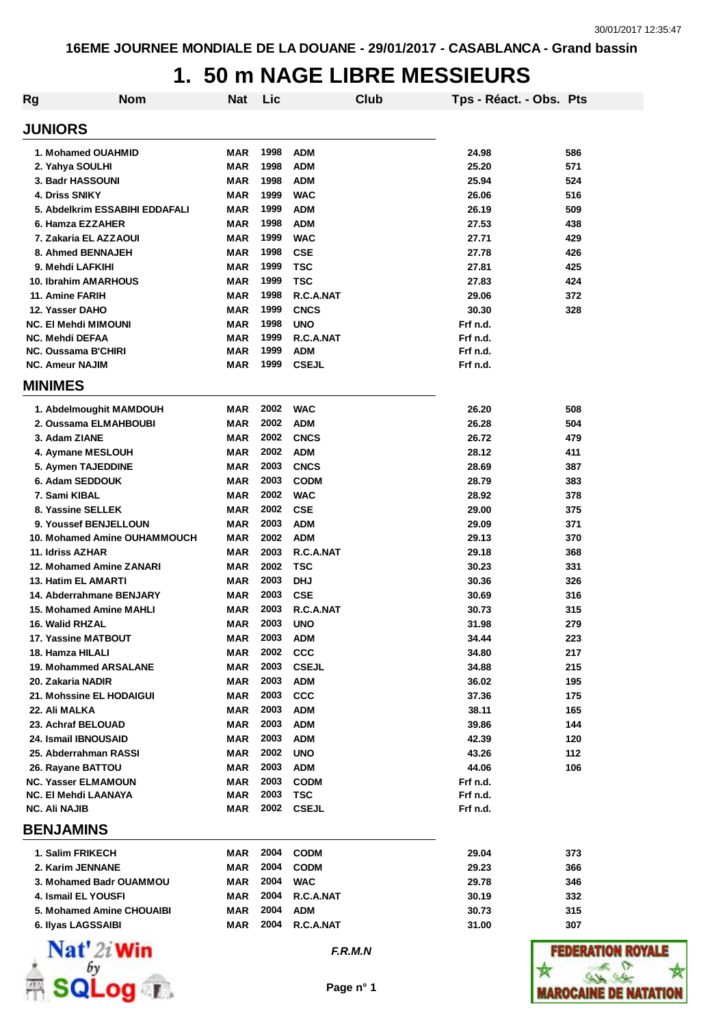| Rg                     | <b>Nom</b>                                      | <b>Nat</b>               | Lic          |                           | Club      | Tps - Réact. - Obs. Pts |            |
|------------------------|-------------------------------------------------|--------------------------|--------------|---------------------------|-----------|-------------------------|------------|
| <b>JUNIORS</b>         |                                                 |                          |              |                           |           |                         |            |
|                        | 1. Mohamed OUAHMID                              | MAR                      | 1998         | <b>ADM</b>                |           | 24.98                   | 586        |
|                        | 2. Yahya SOULHI                                 | MAR                      | 1998         | <b>ADM</b>                |           | 25.20                   | 571        |
|                        | 3. Badr HASSOUNI                                | <b>MAR</b>               | 1998         | <b>ADM</b>                |           | 25.94                   | 524        |
| <b>4. Driss SNIKY</b>  |                                                 | <b>MAR</b>               | 1999         | <b>WAC</b>                |           | 26.06                   | 516        |
|                        | 5. Abdelkrim ESSABIHI EDDAFALI                  | <b>MAR</b>               | 1999         | <b>ADM</b>                |           | 26.19                   | 509        |
|                        | 6. Hamza EZZAHER                                | MAR                      | 1998         | <b>ADM</b>                |           | 27.53                   | 438        |
|                        | 7. Zakaria EL AZZAOUI                           | MAR                      | 1999         | <b>WAC</b>                |           | 27.71                   | 429        |
|                        | 8. Ahmed BENNAJEH                               | <b>MAR</b>               | 1998         | <b>CSE</b>                |           | 27.78                   | 426        |
|                        | 9. Mehdi LAFKIHI                                | <b>MAR</b>               | 1999         | <b>TSC</b>                |           | 27.81                   | 425        |
|                        | <b>10. Ibrahim AMARHOUS</b>                     | <b>MAR</b>               | 1999         | <b>TSC</b>                |           | 27.83                   | 424        |
| 11. Amine FARIH        |                                                 | <b>MAR</b><br><b>MAR</b> | 1998<br>1999 | R.C.A.NAT                 |           | 29.06                   | 372        |
| 12. Yasser DAHO        | <b>NC. El Mehdi MIMOUNI</b>                     | <b>MAR</b>               | 1998         | <b>CNCS</b><br><b>UNO</b> |           | 30.30<br>Frf n.d.       | 328        |
| <b>NC. Mehdi DEFAA</b> |                                                 | <b>MAR</b>               | 1999         | R.C.A.NAT                 |           | Frf n.d.                |            |
|                        | NC. Oussama B'CHIRI                             | <b>MAR</b>               | 1999         | <b>ADM</b>                |           | Frf n.d.                |            |
| <b>NC. Ameur NAJIM</b> |                                                 | MAR                      | 1999         | <b>CSEJL</b>              |           | Frf n.d.                |            |
| <b>MINIMES</b>         |                                                 |                          |              |                           |           |                         |            |
|                        | 1. Abdelmoughit MAMDOUH                         | <b>MAR</b>               | 2002         | <b>WAC</b>                |           | 26.20                   | 508        |
|                        | 2. Oussama ELMAHBOUBI                           | MAR                      | 2002         | <b>ADM</b>                |           | 26.28                   | 504        |
| 3. Adam ZIANE          |                                                 | MAR                      | 2002         | <b>CNCS</b>               |           | 26.72                   | 479        |
|                        | 4. Aymane MESLOUH                               | MAR                      | 2002         | <b>ADM</b>                |           | 28.12                   | 411        |
|                        | 5. Aymen TAJEDDINE                              | MAR                      | 2003         | <b>CNCS</b>               |           | 28.69                   | 387        |
|                        | 6. Adam SEDDOUK                                 | <b>MAR</b>               | 2003         | <b>CODM</b>               |           | 28.79                   | 383        |
| 7. Sami KIBAL          |                                                 | <b>MAR</b>               | 2002         | <b>WAC</b>                |           | 28.92                   | 378        |
|                        | 8. Yassine SELLEK                               | MAR                      | 2002         | <b>CSE</b>                |           | 29.00                   | 375        |
|                        | <b>9. Youssef BENJELLOUN</b>                    | <b>MAR</b>               | 2003         | <b>ADM</b>                |           | 29.09                   | 371        |
|                        | 10. Mohamed Amine OUHAMMOUCH                    | MAR                      | 2002         | <b>ADM</b>                |           | 29.13                   | 370        |
| 11. Idriss AZHAR       |                                                 | <b>MAR</b>               | 2003         | R.C.A.NAT                 |           | 29.18                   | 368        |
|                        | 12. Mohamed Amine ZANARI                        | <b>MAR</b>               | 2002         | <b>TSC</b>                |           | 30.23                   | 331        |
|                        | 13. Hatim EL AMARTI                             | <b>MAR</b>               | 2003         | <b>DHJ</b>                |           | 30.36                   | 326        |
|                        | 14. Abderrahmane BENJARY                        | <b>MAR</b>               | 2003         | <b>CSE</b>                |           | 30.69                   | 316        |
|                        | 15. Mohamed Amine MAHLI                         | <b>MAR</b>               | 2003         | R.C.A.NAT                 |           | 30.73                   | 315        |
| 16. Walid RHZAL        |                                                 | MAR                      | 2003         | <b>UNO</b>                |           | 31.98                   | 279        |
|                        | 17. Yassine MATBOUT                             | MAR                      | 2003         | ADM                       |           | 34.44                   | 223        |
|                        | 18. Hamza HILALI                                | <b>MAR</b>               | 2002         | <b>CCC</b>                |           | 34.80                   | 217        |
|                        | <b>19. Mohammed ARSALANE</b>                    | <b>MAR</b>               | 2003         | <b>CSEJL</b>              |           | 34.88                   | 215        |
|                        | 20. Zakaria NADIR                               | <b>MAR</b>               | 2003         | <b>ADM</b>                |           | 36.02                   | 195        |
|                        | 21. Mohssine EL HODAIGUI                        | <b>MAR</b>               | 2003         | <b>CCC</b>                |           | 37.36                   | 175        |
| 22. Ali MALKA          |                                                 | <b>MAR</b>               | 2003         | <b>ADM</b>                |           | 38.11                   | 165        |
|                        | 23. Achraf BELOUAD                              | <b>MAR</b>               | 2003         | <b>ADM</b>                |           | 39.86                   | 144        |
|                        | 24. Ismail IBNOUSAID                            | <b>MAR</b>               | 2003         | <b>ADM</b>                |           | 42.39                   | 120        |
|                        | 25. Abderrahman RASSI                           | <b>MAR</b><br><b>MAR</b> | 2002<br>2003 | <b>UNO</b><br><b>ADM</b>  |           | 43.26<br>44.06          | 112<br>106 |
|                        | 26. Rayane BATTOU<br><b>NC. Yasser ELMAMOUN</b> | <b>MAR</b>               | 2003         | <b>CODM</b>               |           | Frf n.d.                |            |
|                        | NC. El Mehdi LAANAYA                            | MAR                      | 2003         | <b>TSC</b>                |           | Frf n.d.                |            |
| <b>NC. Ali NAJIB</b>   |                                                 | MAR                      | 2002         | <b>CSEJL</b>              |           | Frf n.d.                |            |
| <b>BENJAMINS</b>       |                                                 |                          |              |                           |           |                         |            |
|                        | 1. Salim FRIKECH                                | MAR                      | 2004         | <b>CODM</b>               |           | 29.04                   | 373        |
|                        | 2. Karim JENNANE                                | <b>MAR</b>               | 2004         | <b>CODM</b>               |           | 29.23                   | 366        |
|                        | 3. Mohamed Badr OUAMMOU                         | MAR                      | 2004         | <b>WAC</b>                |           | 29.78                   | 346        |
|                        | 4. Ismail EL YOUSFI                             | MAR                      | 2004         | R.C.A.NAT                 |           | 30.19                   | 332        |
|                        | 5. Mohamed Amine CHOUAIBI                       | <b>MAR</b>               | 2004         | <b>ADM</b>                |           | 30.73                   | 315        |
|                        | 6. Ilyas LAGSSAIBI                              | MAR                      | 2004         | R.C.A.NAT                 |           | 31.00                   | 307        |
|                        | Nat' 2i Win                                     |                          |              |                           | F.R.M.N   |                         | 11111      |
|                        |                                                 |                          |              |                           | Page n° 1 |                         |            |

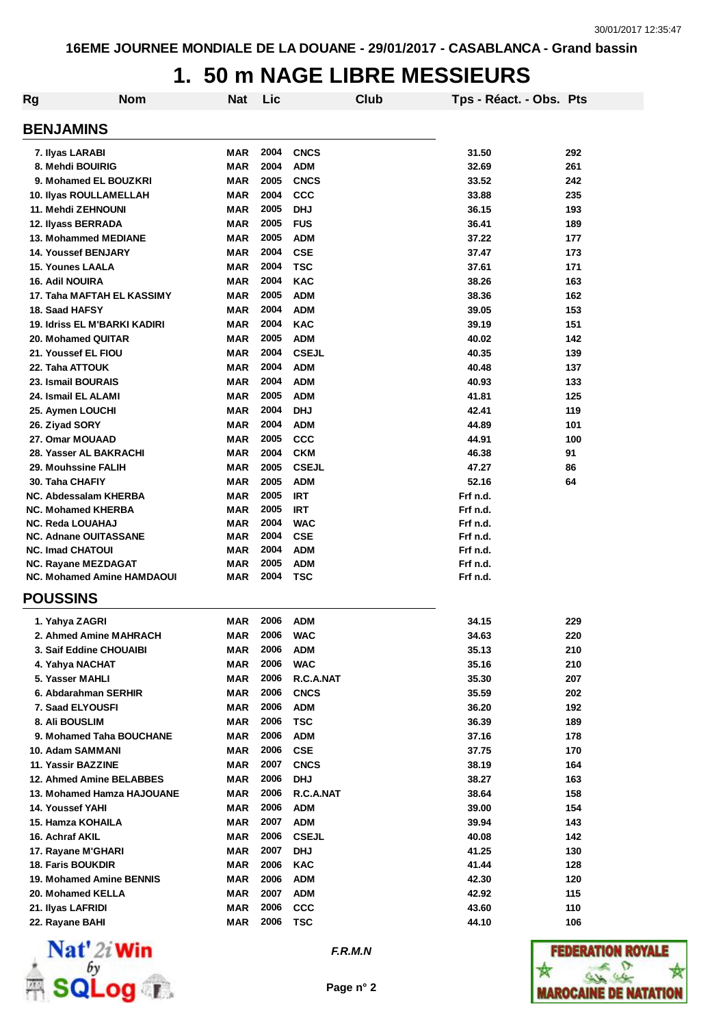| Rg                                  | <b>Nom</b> | <b>Nat</b> | Lic  |              | Club | Tps - Réact. - Obs. Pts |     |
|-------------------------------------|------------|------------|------|--------------|------|-------------------------|-----|
| <b>BENJAMINS</b>                    |            |            |      |              |      |                         |     |
| 7. Ilyas LARABI                     |            | MAR        | 2004 | <b>CNCS</b>  |      | 31.50                   | 292 |
| 8. Mehdi BOUIRIG                    |            | MAR        | 2004 | <b>ADM</b>   |      | 32.69                   | 261 |
| 9. Mohamed EL BOUZKRI               |            | MAR        | 2005 | <b>CNCS</b>  |      | 33.52                   | 242 |
| 10. Ilyas ROULLAMELLAH              |            | <b>MAR</b> | 2004 | <b>CCC</b>   |      | 33.88                   | 235 |
| 11. Mehdi ZEHNOUNI                  |            | MAR        | 2005 | <b>DHJ</b>   |      | 36.15                   | 193 |
| 12. Ilyass BERRADA                  |            | <b>MAR</b> | 2005 | <b>FUS</b>   |      | 36.41                   | 189 |
| 13. Mohammed MEDIANE                |            | <b>MAR</b> | 2005 | <b>ADM</b>   |      | 37.22                   | 177 |
| <b>14. Youssef BENJARY</b>          |            | <b>MAR</b> | 2004 | <b>CSE</b>   |      | 37.47                   | 173 |
| <b>15. Younes LAALA</b>             |            | <b>MAR</b> | 2004 | <b>TSC</b>   |      | 37.61                   | 171 |
| <b>16. Adil NOUIRA</b>              |            | <b>MAR</b> | 2004 | <b>KAC</b>   |      | 38.26                   | 163 |
| 17. Taha MAFTAH EL KASSIMY          |            | <b>MAR</b> | 2005 | <b>ADM</b>   |      | 38.36                   | 162 |
| 18. Saad HAFSY                      |            | <b>MAR</b> | 2004 | <b>ADM</b>   |      | 39.05                   | 153 |
| <b>19. Idriss EL M'BARKI KADIRI</b> |            | <b>MAR</b> | 2004 | <b>KAC</b>   |      | 39.19                   | 151 |
| 20. Mohamed QUITAR                  |            | <b>MAR</b> | 2005 | <b>ADM</b>   |      | 40.02                   | 142 |
| 21. Youssef EL FIOU                 |            | <b>MAR</b> | 2004 | <b>CSEJL</b> |      | 40.35                   | 139 |
| 22. Taha ATTOUK                     |            | <b>MAR</b> | 2004 | <b>ADM</b>   |      | 40.48                   | 137 |
| 23. Ismail BOURAIS                  |            | <b>MAR</b> | 2004 | <b>ADM</b>   |      | 40.93                   | 133 |
| 24. Ismail EL ALAMI                 |            | <b>MAR</b> | 2005 | <b>ADM</b>   |      | 41.81                   | 125 |
| 25. Aymen LOUCHI                    |            | <b>MAR</b> | 2004 | <b>DHJ</b>   |      | 42.41                   | 119 |
| 26. Ziyad SORY                      |            | <b>MAR</b> | 2004 | <b>ADM</b>   |      | 44.89                   | 101 |
| 27. Omar MOUAAD                     |            | <b>MAR</b> | 2005 | <b>CCC</b>   |      | 44.91                   | 100 |
| 28. Yasser AL BAKRACHI              |            | <b>MAR</b> | 2004 | <b>CKM</b>   |      | 46.38                   | 91  |
| 29. Mouhssine FALIH                 |            | <b>MAR</b> | 2005 | <b>CSEJL</b> |      | 47.27                   | 86  |
| 30. Taha CHAFIY                     |            | MAR        | 2005 | <b>ADM</b>   |      | 52.16                   | 64  |
| NC. Abdessalam KHERBA               |            | MAR        | 2005 | <b>IRT</b>   |      | Frf n.d.                |     |
| <b>NC. Mohamed KHERBA</b>           |            | MAR        | 2005 | <b>IRT</b>   |      | Frf n.d.                |     |
| <b>NC. Reda LOUAHAJ</b>             |            | MAR        | 2004 | <b>WAC</b>   |      | Frf n.d.                |     |
| <b>NC. Adnane OUITASSANE</b>        |            | MAR        | 2004 | <b>CSE</b>   |      | Frf n.d.                |     |
| <b>NC. Imad CHATOUI</b>             |            | MAR        | 2004 | <b>ADM</b>   |      | Frf n.d.                |     |
| <b>NC. Rayane MEZDAGAT</b>          |            | <b>MAR</b> | 2005 | <b>ADM</b>   |      | Frf n.d.                |     |
| <b>NC. Mohamed Amine HAMDAOUI</b>   |            | MAR        | 2004 | TSC          |      | Frf n.d.                |     |
| <b>POUSSINS</b>                     |            |            |      |              |      |                         |     |
| 1. Yahya ZAGRI                      |            | MAR        | 2006 | <b>ADM</b>   |      | 34.15                   | 229 |
| 2. Ahmed Amine MAHRACH              |            | MAR        | 2006 | <b>WAC</b>   |      | 34.63                   | 220 |
| 3. Saif Eddine CHOUAIBI             |            | MAR        | 2006 | <b>ADM</b>   |      | 35.13                   | 210 |
| 4. Yahya NACHAT                     |            | MAR        | 2006 | <b>WAC</b>   |      | 35.16                   | 210 |
| 5. Yasser MAHLI                     |            | MAR        | 2006 | R.C.A.NAT    |      | 35.30                   | 207 |
| 6. Abdarahman SERHIR                |            | MAR        | 2006 | <b>CNCS</b>  |      | 35.59                   | 202 |
| 7. Saad ELYOUSFI                    |            | <b>MAR</b> | 2006 | <b>ADM</b>   |      | 36.20                   | 192 |
| 8. Ali BOUSLIM                      |            | MAR        | 2006 | <b>TSC</b>   |      | 36.39                   | 189 |
| 9. Mohamed Taha BOUCHANE            |            | MAR        | 2006 | <b>ADM</b>   |      | 37.16                   | 178 |
| 10. Adam SAMMANI                    |            | MAR        | 2006 | <b>CSE</b>   |      | 37.75                   | 170 |
| 11. Yassir BAZZINE                  |            | MAR        | 2007 | <b>CNCS</b>  |      | 38.19                   | 164 |
| 12. Ahmed Amine BELABBES            |            | <b>MAR</b> | 2006 | <b>DHJ</b>   |      | 38.27                   | 163 |
| 13. Mohamed Hamza HAJOUANE          |            | <b>MAR</b> | 2006 | R.C.A.NAT    |      | 38.64                   | 158 |
| 14. Youssef YAHI                    |            | MAR        | 2006 | ADM          |      | 39.00                   | 154 |
| 15. Hamza KOHAILA                   |            | MAR        | 2007 | <b>ADM</b>   |      | 39.94                   | 143 |
| 16. Achraf AKIL                     |            | MAR        | 2006 | <b>CSEJL</b> |      | 40.08                   | 142 |
|                                     |            | MAR        | 2007 |              |      | 41.25                   | 130 |
| 17. Rayane M'GHARI                  |            |            | 2006 | <b>DHJ</b>   |      |                         |     |
| <b>18. Faris BOUKDIR</b>            |            | <b>MAR</b> |      | <b>KAC</b>   |      | 41.44                   | 128 |
| 19. Mohamed Amine BENNIS            |            | MAR        | 2006 | <b>ADM</b>   |      | 42.30                   | 120 |
| 20. Mohamed KELLA                   |            | MAR        | 2007 | <b>ADM</b>   |      | 42.92                   | 115 |
| 21. Ilyas LAFRIDI                   |            | <b>MAR</b> | 2006 | <b>CCC</b>   |      | 43.60                   | 110 |
| 22. Rayane BAHI                     |            | <b>MAR</b> | 2006 | <b>TSC</b>   |      | 44.10                   | 106 |



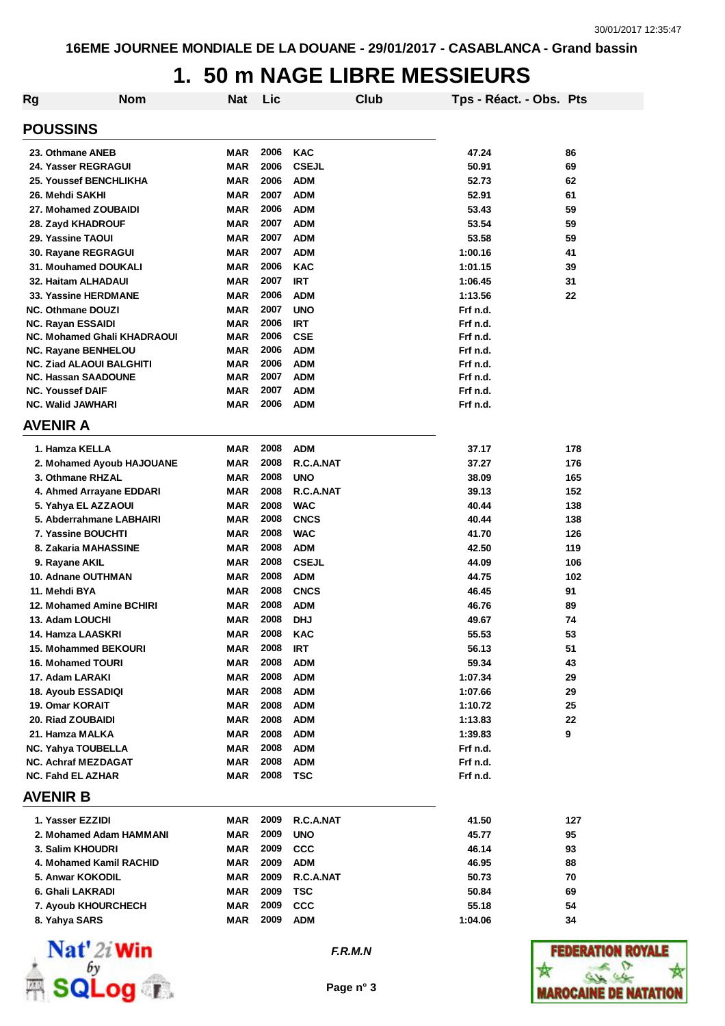| Rg                                                     | <b>Nom</b>                         | <b>Nat</b> | Lic          |                   | Club | Tps - Réact. - Obs. Pts |     |
|--------------------------------------------------------|------------------------------------|------------|--------------|-------------------|------|-------------------------|-----|
| <b>POUSSINS</b>                                        |                                    |            |              |                   |      |                         |     |
| 23. Othmane ANEB                                       |                                    | MAR        | 2006         | <b>KAC</b>        |      | 47.24                   | 86  |
| 24. Yasser REGRAGUI                                    |                                    | <b>MAR</b> | 2006         | <b>CSEJL</b>      |      | 50.91                   | 69  |
| <b>25. Youssef BENCHLIKHA</b>                          |                                    | <b>MAR</b> | 2006         | <b>ADM</b>        |      | 52.73                   | 62  |
| 26. Mehdi SAKHI                                        |                                    | <b>MAR</b> | 2007         | <b>ADM</b>        |      | 52.91                   | 61  |
| 27. Mohamed ZOUBAIDI                                   |                                    | <b>MAR</b> | 2006         | <b>ADM</b>        |      | 53.43                   | 59  |
| 28. Zayd KHADROUF                                      |                                    | <b>MAR</b> | 2007         | <b>ADM</b>        |      | 53.54                   | 59  |
| 29. Yassine TAOUI                                      |                                    | <b>MAR</b> | 2007         | <b>ADM</b>        |      | 53.58                   | 59  |
| 30. Rayane REGRAGUI                                    |                                    | <b>MAR</b> | 2007         | <b>ADM</b>        |      | 1:00.16                 | 41  |
| <b>31. Mouhamed DOUKALI</b>                            |                                    | <b>MAR</b> | 2006         | <b>KAC</b>        |      | 1:01.15                 | 39  |
| 32. Haitam ALHADAUI                                    |                                    | <b>MAR</b> | 2007         | <b>IRT</b>        |      | 1:06.45                 | 31  |
| 33. Yassine HERDMANE                                   |                                    | MAR        | 2006         | <b>ADM</b>        |      | 1:13.56                 | 22  |
| <b>NC. Othmane DOUZI</b>                               |                                    | MAR        | 2007         | <b>UNO</b>        |      | Frf n.d.                |     |
| <b>NC. Rayan ESSAIDI</b>                               |                                    | MAR        | 2006         | <b>IRT</b>        |      | Frf n.d.                |     |
|                                                        | <b>NC. Mohamed Ghali KHADRAOUI</b> | MAR        | 2006         | <b>CSE</b>        |      | Frf n.d.                |     |
| <b>NC. Rayane BENHELOU</b>                             |                                    | MAR        | 2006         | <b>ADM</b>        |      | Frf n.d.                |     |
| <b>NC. Ziad ALAOUI BALGHITI</b>                        |                                    | MAR        | 2006         | <b>ADM</b>        |      | Frf n.d.                |     |
| <b>NC. Hassan SAADOUNE</b>                             |                                    | <b>MAR</b> | 2007         | <b>ADM</b>        |      | Frf n.d.                |     |
| <b>NC. Youssef DAIF</b>                                |                                    | <b>MAR</b> | 2007         | <b>ADM</b>        |      | Frf n.d.                |     |
| <b>NC. Walid JAWHARI</b>                               |                                    | MAR        | 2006         | <b>ADM</b>        |      | Frf n.d.                |     |
| <b>AVENIR A</b>                                        |                                    |            |              |                   |      |                         |     |
| 1. Hamza KELLA                                         |                                    | MAR        | 2008         | <b>ADM</b>        |      | 37.17                   | 178 |
|                                                        | 2. Mohamed Ayoub HAJOUANE          | MAR        | 2008         | R.C.A.NAT         |      | 37.27                   | 176 |
| 3. Othmane RHZAL                                       |                                    | <b>MAR</b> | 2008         | <b>UNO</b>        |      | 38.09                   | 165 |
| 4. Ahmed Arrayane EDDARI                               |                                    | <b>MAR</b> | 2008         | R.C.A.NAT         |      | 39.13                   | 152 |
| 5. Yahya EL AZZAOUI                                    |                                    | <b>MAR</b> | 2008         | <b>WAC</b>        |      | 40.44                   | 138 |
|                                                        | 5. Abderrahmane LABHAIRI           | MAR        | 2008         | <b>CNCS</b>       |      | 40.44                   | 138 |
| 7. Yassine BOUCHTI                                     |                                    | <b>MAR</b> | 2008         | <b>WAC</b>        |      | 41.70                   | 126 |
| 8. Zakaria MAHASSINE                                   |                                    | <b>MAR</b> | 2008         | <b>ADM</b>        |      | 42.50                   | 119 |
| 9. Rayane AKIL                                         |                                    | <b>MAR</b> | 2008         | <b>CSEJL</b>      |      | 44.09                   | 106 |
| 10. Adnane OUTHMAN                                     |                                    | <b>MAR</b> | 2008         | <b>ADM</b>        |      | 44.75                   | 102 |
| 11. Mehdi BYA                                          |                                    | <b>MAR</b> | 2008         | <b>CNCS</b>       |      | 46.45                   | 91  |
| 12. Mohamed Amine BCHIRI                               |                                    | MAR        | 2008         | <b>ADM</b>        |      | 46.76                   | 89  |
| 13. Adam LOUCHI                                        |                                    | <b>MAR</b> | 2008         | <b>DHJ</b>        |      | 49.67                   | 74  |
| 14. Hamza LAASKRI                                      |                                    | MAR        | 2008         | KAC               |      | 55.53                   | 53  |
| 15. Mohammed BEKOURI                                   |                                    | MAR        | 2008         | IRT               |      | 56.13                   | 51  |
| 16. Mohamed TOURI                                      |                                    | <b>MAR</b> | 2008         | <b>ADM</b>        |      | 59.34                   | 43  |
| 17. Adam LARAKI                                        |                                    | <b>MAR</b> | 2008         | <b>ADM</b>        |      | 1:07.34                 | 29  |
| 18. Ayoub ESSADIQI                                     |                                    | MAR        | 2008         | <b>ADM</b>        |      | 1:07.66                 | 29  |
| 19. Omar KORAIT                                        |                                    | <b>MAR</b> | 2008         | <b>ADM</b>        |      | 1:10.72                 | 25  |
| 20. Riad ZOUBAIDI                                      |                                    | <b>MAR</b> | 2008         | <b>ADM</b>        |      | 1:13.83                 | 22  |
|                                                        |                                    |            | 2008         | <b>ADM</b>        |      |                         | 9   |
| 21. Hamza MALKA                                        |                                    | MAR        |              |                   |      | 1:39.83                 |     |
| <b>NC. Yahya TOUBELLA</b>                              |                                    | <b>MAR</b> | 2008<br>2008 | <b>ADM</b>        |      | Frf n.d.                |     |
| <b>NC. Achraf MEZDAGAT</b><br><b>NC. Fahd EL AZHAR</b> |                                    | MAR<br>MAR | 2008         | <b>ADM</b><br>TSC |      | Frf n.d.<br>Frf n.d.    |     |
| AVENIR B                                               |                                    |            |              |                   |      |                         |     |
|                                                        |                                    |            |              |                   |      |                         |     |
| 1. Yasser EZZIDI                                       |                                    | MAR        | 2009         | R.C.A.NAT         |      | 41.50                   | 127 |
|                                                        | 2. Mohamed Adam HAMMANI            | MAR        | 2009         | <b>UNO</b>        |      | 45.77                   | 95  |
| 3. Salim KHOUDRI                                       |                                    | MAR        | 2009         | $_{\rm ccc}$      |      | 46.14                   | 93  |
| 4. Mohamed Kamil RACHID                                |                                    | MAR        | 2009         | <b>ADM</b>        |      | 46.95                   | 88  |
| 5. Anwar KOKODIL                                       |                                    | MAR        | 2009         | R.C.A.NAT         |      | 50.73                   | 70  |
| 6. Ghali LAKRADI                                       |                                    | <b>MAR</b> | 2009         | TSC               |      | 50.84                   | 69  |
| 7. Ayoub KHOURCHECH                                    |                                    | MAR        | 2009         | <b>CCC</b>        |      | 55.18                   | 54  |
| 8. Yahya SARS                                          |                                    | MAR        | 2009         | ADM               |      | 1:04.06                 | 34  |



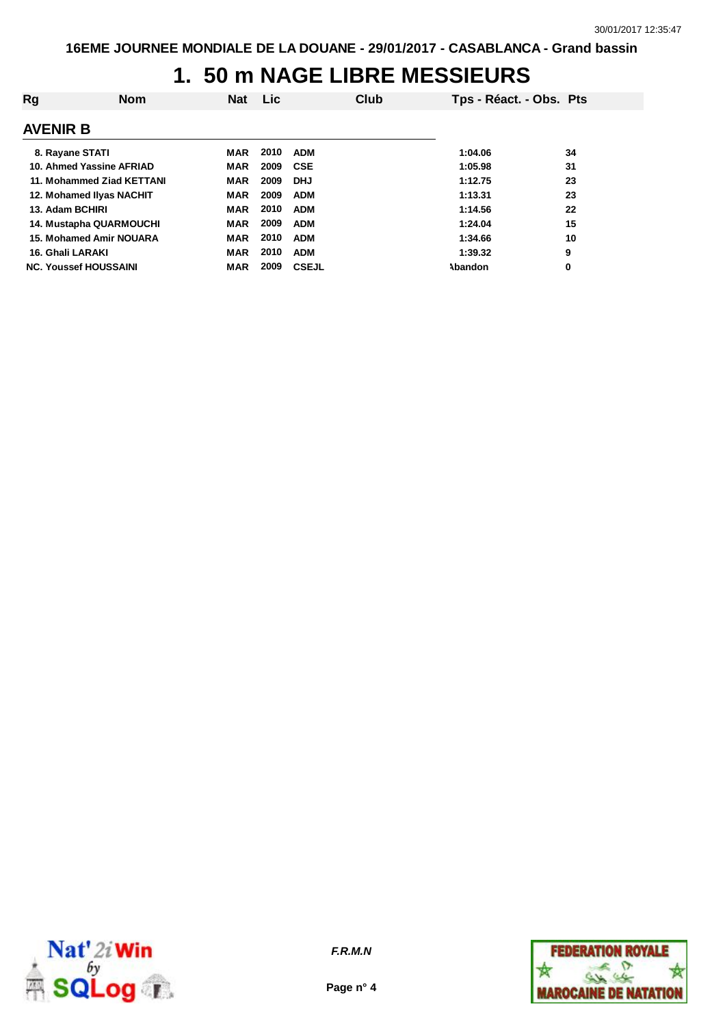| Rg               | <b>Nom</b>                     | <b>Nat</b> | Lic. |              | Club | Tps - Réact. - Obs. Pts |    |
|------------------|--------------------------------|------------|------|--------------|------|-------------------------|----|
| <b>AVENIR B</b>  |                                |            |      |              |      |                         |    |
| 8. Rayane STATI  |                                | MAR        | 2010 | <b>ADM</b>   |      | 1:04.06                 | 34 |
|                  | 10. Ahmed Yassine AFRIAD       | MAR        | 2009 | CSE          |      | 1:05.98                 | 31 |
|                  | 11. Mohammed Ziad KETTANI      | <b>MAR</b> | 2009 | <b>DHJ</b>   |      | 1:12.75                 | 23 |
|                  | 12. Mohamed Ilyas NACHIT       | MAR        | 2009 | <b>ADM</b>   |      | 1:13.31                 | 23 |
| 13. Adam BCHIRI  |                                | <b>MAR</b> | 2010 | <b>ADM</b>   |      | 1:14.56                 | 22 |
|                  | <b>14. Mustapha QUARMOUCHI</b> | <b>MAR</b> | 2009 | <b>ADM</b>   |      | 1:24.04                 | 15 |
|                  | 15. Mohamed Amir NOUARA        | <b>MAR</b> | 2010 | <b>ADM</b>   |      | 1:34.66                 | 10 |
| 16. Ghali LARAKI |                                | <b>MAR</b> | 2010 | <b>ADM</b>   |      | 1:39.32                 | 9  |
|                  | <b>NC. Youssef HOUSSAINI</b>   | <b>MAR</b> | 2009 | <b>CSEJL</b> |      | Abandon                 | 0  |



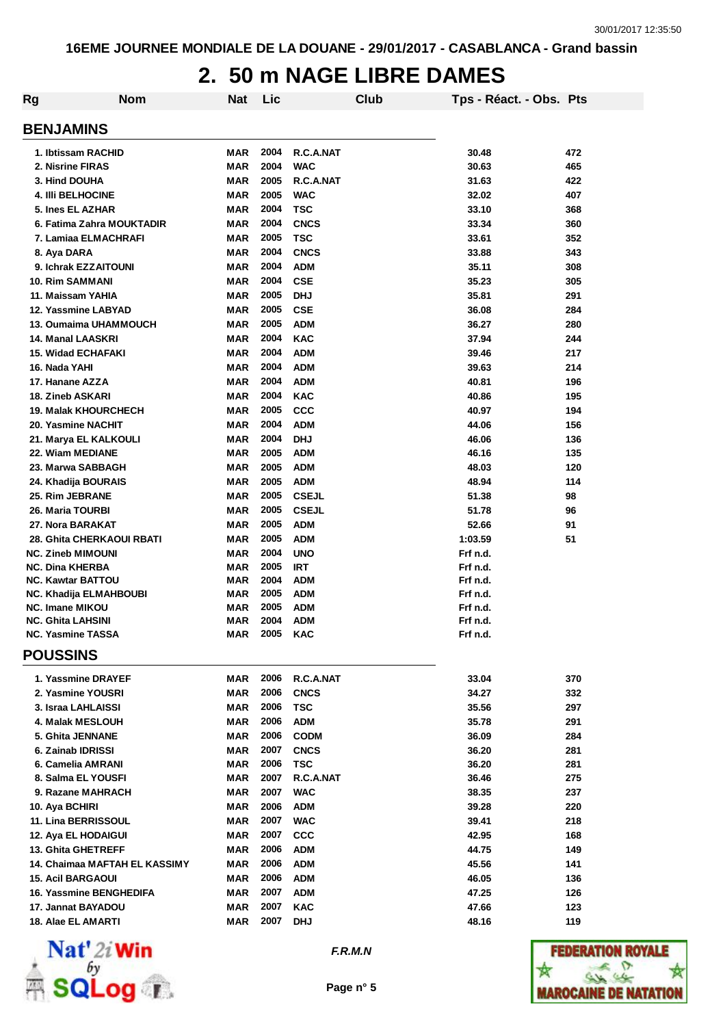## **2. 50 m NAGE LIBRE DAMES**

| Rg | <b>Nom</b>                                         | <b>Nat</b>               | Lic  |                            | Club | Tps - Réact. - Obs. Pts |     |
|----|----------------------------------------------------|--------------------------|------|----------------------------|------|-------------------------|-----|
|    | <b>BENJAMINS</b>                                   |                          |      |                            |      |                         |     |
|    |                                                    |                          | 2004 | R.C.A.NAT                  |      |                         | 472 |
|    | 1. Ibtissam RACHID<br>2. Nisrine FIRAS             | <b>MAR</b><br><b>MAR</b> | 2004 | <b>WAC</b>                 |      | 30.48<br>30.63          | 465 |
|    | 3. Hind DOUHA                                      | <b>MAR</b>               | 2005 | R.C.A.NAT                  |      | 31.63                   | 422 |
|    | <b>4. IIII BELHOCINE</b>                           | <b>MAR</b>               | 2005 | <b>WAC</b>                 |      | 32.02                   | 407 |
|    | 5. Ines EL AZHAR                                   | <b>MAR</b>               | 2004 | <b>TSC</b>                 |      | 33.10                   | 368 |
|    | 6. Fatima Zahra MOUKTADIR                          | MAR                      | 2004 | <b>CNCS</b>                |      | 33.34                   | 360 |
|    | 7. Lamiaa ELMACHRAFI                               | <b>MAR</b>               | 2005 | <b>TSC</b>                 |      | 33.61                   | 352 |
|    |                                                    | <b>MAR</b>               | 2004 | <b>CNCS</b>                |      | 33.88                   | 343 |
|    | 8. Aya DARA<br>9. Ichrak EZZAITOUNI                | <b>MAR</b>               | 2004 | <b>ADM</b>                 |      | 35.11                   | 308 |
|    | <b>10. Rim SAMMANI</b>                             | <b>MAR</b>               | 2004 | <b>CSE</b>                 |      | 35.23                   | 305 |
|    | 11. Maissam YAHIA                                  | <b>MAR</b>               | 2005 | <b>DHJ</b>                 |      | 35.81                   | 291 |
|    | 12. Yassmine LABYAD                                | <b>MAR</b>               | 2005 | <b>CSE</b>                 |      | 36.08                   | 284 |
|    | 13. Oumaima UHAMMOUCH                              | <b>MAR</b>               | 2005 | <b>ADM</b>                 |      | 36.27                   | 280 |
|    | 14. Manal LAASKRI                                  | <b>MAR</b>               | 2004 | <b>KAC</b>                 |      | 37.94                   | 244 |
|    | 15. Widad ECHAFAKI                                 | <b>MAR</b>               | 2004 | <b>ADM</b>                 |      | 39.46                   | 217 |
|    | 16. Nada YAHI                                      | <b>MAR</b>               | 2004 | <b>ADM</b>                 |      | 39.63                   | 214 |
|    | 17. Hanane AZZA                                    | <b>MAR</b>               | 2004 | <b>ADM</b>                 |      | 40.81                   | 196 |
|    | 18. Zineb ASKARI                                   | <b>MAR</b>               | 2004 | <b>KAC</b>                 |      | 40.86                   | 195 |
|    | <b>19. Malak KHOURCHECH</b>                        | <b>MAR</b>               | 2005 | <b>CCC</b>                 |      | 40.97                   | 194 |
|    | 20. Yasmine NACHIT                                 | <b>MAR</b>               | 2004 | <b>ADM</b>                 |      | 44.06                   | 156 |
|    |                                                    | <b>MAR</b>               | 2004 | <b>DHJ</b>                 |      | 46.06                   |     |
|    | 21. Marya EL KALKOULI<br>22. Wiam MEDIANE          | <b>MAR</b>               | 2005 | <b>ADM</b>                 |      | 46.16                   | 136 |
|    |                                                    |                          | 2005 |                            |      |                         | 135 |
|    | 23. Marwa SABBAGH                                  | <b>MAR</b><br><b>MAR</b> | 2005 | <b>ADM</b><br><b>ADM</b>   |      | 48.03<br>48.94          | 120 |
|    | 24. Khadija BOURAIS                                |                          | 2005 |                            |      |                         | 114 |
|    | 25. Rim JEBRANE                                    | <b>MAR</b>               | 2005 | <b>CSEJL</b>               |      | 51.38                   | 98  |
|    | 26. Maria TOURBI                                   | <b>MAR</b>               | 2005 | <b>CSEJL</b><br><b>ADM</b> |      | 51.78                   | 96  |
|    | 27. Nora BARAKAT                                   | <b>MAR</b>               | 2005 |                            |      | 52.66                   | 91  |
|    | <b>28. Ghita CHERKAOUI RBATI</b>                   | <b>MAR</b>               | 2004 | <b>ADM</b>                 |      | 1:03.59                 | 51  |
|    | <b>NC. Zineb MIMOUNI</b><br><b>NC. Dina KHERBA</b> | <b>MAR</b><br>MAR        | 2005 | <b>UNO</b><br><b>IRT</b>   |      | Frf n.d.<br>Frf n.d.    |     |
|    | <b>NC. Kawtar BATTOU</b>                           | MAR                      | 2004 | <b>ADM</b>                 |      | Frf n.d.                |     |
|    | NC. Khadija ELMAHBOUBI                             | MAR                      | 2005 | <b>ADM</b>                 |      | Frf n.d.                |     |
|    | <b>NC. Imane MIKOU</b>                             | MAR                      | 2005 | <b>ADM</b>                 |      | Frf n.d.                |     |
|    | <b>NC. Ghita LAHSINI</b>                           | MAR                      | 2004 | <b>ADM</b>                 |      | Frf n.d.                |     |
|    | <b>NC. Yasmine TASSA</b>                           | MAR                      | 2005 | KAC                        |      | Frf n.d.                |     |
|    | <b>POUSSINS</b>                                    |                          |      |                            |      |                         |     |
|    | 1. Yassmine DRAYEF                                 | MAR                      | 2006 | R.C.A.NAT                  |      | 33.04                   | 370 |
|    | 2. Yasmine YOUSRI                                  | MAR                      | 2006 | <b>CNCS</b>                |      | 34.27                   | 332 |
|    | 3. Israa LAHLAISSI                                 | <b>MAR</b>               | 2006 | <b>TSC</b>                 |      | 35.56                   | 297 |
|    | 4. Malak MESLOUH                                   | <b>MAR</b>               | 2006 | <b>ADM</b>                 |      | 35.78                   | 291 |
|    | 5. Ghita JENNANE                                   | <b>MAR</b>               | 2006 | <b>CODM</b>                |      | 36.09                   | 284 |
|    | 6. Zainab IDRISSI                                  | <b>MAR</b>               | 2007 | <b>CNCS</b>                |      | 36.20                   | 281 |
|    | 6. Camelia AMRANI                                  | MAR                      | 2006 | <b>TSC</b>                 |      | 36.20                   | 281 |
|    | 8. Salma EL YOUSFI                                 | <b>MAR</b>               | 2007 | R.C.A.NAT                  |      | 36.46                   | 275 |
|    | 9. Razane MAHRACH                                  | <b>MAR</b>               | 2007 | <b>WAC</b>                 |      | 38.35                   | 237 |
|    | 10. Aya BCHIRI                                     | MAR                      | 2006 | <b>ADM</b>                 |      | 39.28                   | 220 |
|    | 11. Lina BERRISSOUL                                | <b>MAR</b>               | 2007 | <b>WAC</b>                 |      | 39.41                   | 218 |
|    | 12. Aya EL HODAIGUI                                | <b>MAR</b>               | 2007 | <b>CCC</b>                 |      | 42.95                   | 168 |
|    | 13. Ghita GHETREFF                                 | <b>MAR</b>               | 2006 | <b>ADM</b>                 |      | 44.75                   | 149 |
|    | 14. Chaimaa MAFTAH EL KASSIMY                      | <b>MAR</b>               | 2006 | <b>ADM</b>                 |      | 45.56                   | 141 |
|    | <b>15. Acil BARGAOUI</b>                           | <b>MAR</b>               | 2006 | <b>ADM</b>                 |      | 46.05                   | 136 |
|    | 16. Yassmine BENGHEDIFA                            | MAR                      | 2007 | <b>ADM</b>                 |      | 47.25                   | 126 |
|    | 17. Jannat BAYADOU                                 | MAR                      | 2007 | <b>KAC</b>                 |      | 47.66                   | 123 |
|    | 18. Alae EL AMARTI                                 | <b>MAR</b>               | 2007 | <b>DHJ</b>                 |      | 48.16                   | 119 |



*F.R.M.N*

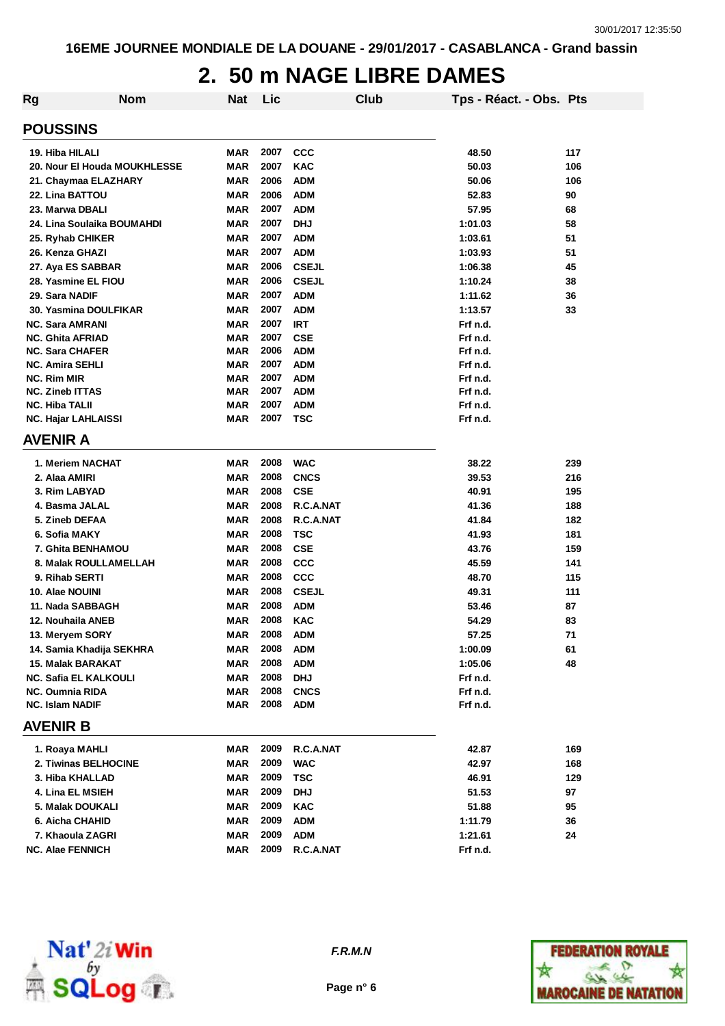## **2. 50 m NAGE LIBRE DAMES**

| Rg                         | <b>Nom</b>                   | <b>Nat</b> | Lic  |              | Club | Tps - Réact. - Obs. Pts |     |
|----------------------------|------------------------------|------------|------|--------------|------|-------------------------|-----|
| <b>POUSSINS</b>            |                              |            |      |              |      |                         |     |
| 19. Hiba HILALI            |                              | MAR        | 2007 | <b>CCC</b>   |      | 48.50                   | 117 |
|                            | 20. Nour El Houda MOUKHLESSE | <b>MAR</b> | 2007 | <b>KAC</b>   |      | 50.03                   | 106 |
|                            | 21. Chaymaa ELAZHARY         | <b>MAR</b> | 2006 | <b>ADM</b>   |      | 50.06                   | 106 |
| 22. Lina BATTOU            |                              | <b>MAR</b> | 2006 | <b>ADM</b>   |      | 52.83                   | 90  |
| 23. Marwa DBALI            |                              | <b>MAR</b> | 2007 | <b>ADM</b>   |      | 57.95                   | 68  |
|                            | 24. Lina Soulaika BOUMAHDI   | <b>MAR</b> | 2007 | <b>DHJ</b>   |      | 1:01.03                 | 58  |
| 25. Ryhab CHIKER           |                              | <b>MAR</b> | 2007 | <b>ADM</b>   |      | 1:03.61                 | 51  |
| 26. Kenza GHAZI            |                              | <b>MAR</b> | 2007 | <b>ADM</b>   |      | 1:03.93                 | 51  |
| 27. Aya ES SABBAR          |                              | <b>MAR</b> | 2006 | <b>CSEJL</b> |      | 1:06.38                 | 45  |
| 28. Yasmine EL FIOU        |                              | <b>MAR</b> | 2006 | <b>CSEJL</b> |      | 1:10.24                 | 38  |
| 29. Sara NADIF             |                              | <b>MAR</b> | 2007 | <b>ADM</b>   |      | 1:11.62                 | 36  |
|                            | 30. Yasmina DOULFIKAR        | <b>MAR</b> | 2007 | <b>ADM</b>   |      | 1:13.57                 | 33  |
| <b>NC. Sara AMRANI</b>     |                              | <b>MAR</b> | 2007 | <b>IRT</b>   |      | Frf n.d.                |     |
| <b>NC. Ghita AFRIAD</b>    |                              | <b>MAR</b> | 2007 | <b>CSE</b>   |      | Frf n.d.                |     |
| <b>NC. Sara CHAFER</b>     |                              | <b>MAR</b> | 2006 | <b>ADM</b>   |      | Frf n.d.                |     |
| <b>NC. Amira SEHLI</b>     |                              | <b>MAR</b> | 2007 | <b>ADM</b>   |      | Frf n.d.                |     |
| NC. Rim MIR                |                              | <b>MAR</b> | 2007 | <b>ADM</b>   |      | Frf n.d.                |     |
| <b>NC. Zineb ITTAS</b>     |                              | <b>MAR</b> | 2007 | <b>ADM</b>   |      | Frf n.d.                |     |
| <b>NC. Hiba TALII</b>      |                              | <b>MAR</b> | 2007 | <b>ADM</b>   |      | Frf n.d.                |     |
| <b>NC. Hajar LAHLAISSI</b> |                              | <b>MAR</b> | 2007 | <b>TSC</b>   |      | Frf n.d.                |     |
| <b>AVENIR A</b>            |                              |            |      |              |      |                         |     |
| 1. Meriem NACHAT           |                              | MAR        | 2008 | <b>WAC</b>   |      | 38.22                   | 239 |
| 2. Alaa AMIRI              |                              | <b>MAR</b> | 2008 | <b>CNCS</b>  |      | 39.53                   | 216 |
| 3. Rim LABYAD              |                              | <b>MAR</b> | 2008 | <b>CSE</b>   |      | 40.91                   | 195 |
| 4. Basma JALAL             |                              | <b>MAR</b> | 2008 | R.C.A.NAT    |      | 41.36                   | 188 |
| 5. Zineb DEFAA             |                              | <b>MAR</b> | 2008 | R.C.A.NAT    |      | 41.84                   | 182 |
| 6. Sofia MAKY              |                              | <b>MAR</b> | 2008 | TSC          |      | 41.93                   | 181 |
|                            | 7. Ghita BENHAMOU            | <b>MAR</b> | 2008 | <b>CSE</b>   |      | 43.76                   | 159 |
|                            | 8. Malak ROULLAMELLAH        | <b>MAR</b> | 2008 | <b>CCC</b>   |      | 45.59                   | 141 |
| 9. Rihab SERTI             |                              | <b>MAR</b> | 2008 | <b>CCC</b>   |      | 48.70                   | 115 |
| 10. Alae NOUINI            |                              | <b>MAR</b> | 2008 | <b>CSEJL</b> |      | 49.31                   | 111 |
| 11. Nada SABBAGH           |                              | <b>MAR</b> | 2008 | <b>ADM</b>   |      | 53.46                   | 87  |
| 12. Nouhaila ANEB          |                              | <b>MAR</b> | 2008 | <b>KAC</b>   |      | 54.29                   | 83  |
| 13. Meryem SORY            |                              | <b>MAR</b> | 2008 | <b>ADM</b>   |      | 57.25                   | 71  |
|                            | 14. Samia Khadija SEKHRA     | MAR        | 2008 | <b>ADM</b>   |      | 1:00.09                 | 61  |
| 15. Malak BARAKAT          |                              | MAR        | 2008 | <b>ADM</b>   |      | 1:05.06                 | 48  |
|                            | <b>NC. Safia EL KALKOULI</b> | <b>MAR</b> | 2008 | <b>DHJ</b>   |      | Frf n.d.                |     |
| NC. Oumnia RIDA            |                              | MAR        | 2008 | <b>CNCS</b>  |      | Frf n.d.                |     |
| <b>NC. Islam NADIF</b>     |                              | MAR        | 2008 | <b>ADM</b>   |      | Frf n.d.                |     |
| <b>AVENIR B</b>            |                              |            |      |              |      |                         |     |
| 1. Roaya MAHLI             |                              | MAR        | 2009 | R.C.A.NAT    |      | 42.87                   | 169 |
|                            | 2. Tiwinas BELHOCINE         | MAR        | 2009 | <b>WAC</b>   |      | 42.97                   | 168 |
| 3. Hiba KHALLAD            |                              | MAR        | 2009 | <b>TSC</b>   |      | 46.91                   | 129 |
| 4. Lina EL MSIEH           |                              | MAR        | 2009 | <b>DHJ</b>   |      | 51.53                   | 97  |
| 5. Malak DOUKALI           |                              | MAR        | 2009 | KAC          |      | 51.88                   | 95  |
| 6. Aicha CHAHID            |                              | MAR        | 2009 | <b>ADM</b>   |      | 1:11.79                 | 36  |
| 7. Khaoula ZAGRI           |                              | MAR        | 2009 | <b>ADM</b>   |      | 1:21.61                 | 24  |
| <b>NC. Alae FENNICH</b>    |                              | MAR        | 2009 | R.C.A.NAT    |      | Frf n.d.                |     |
|                            |                              |            |      |              |      |                         |     |



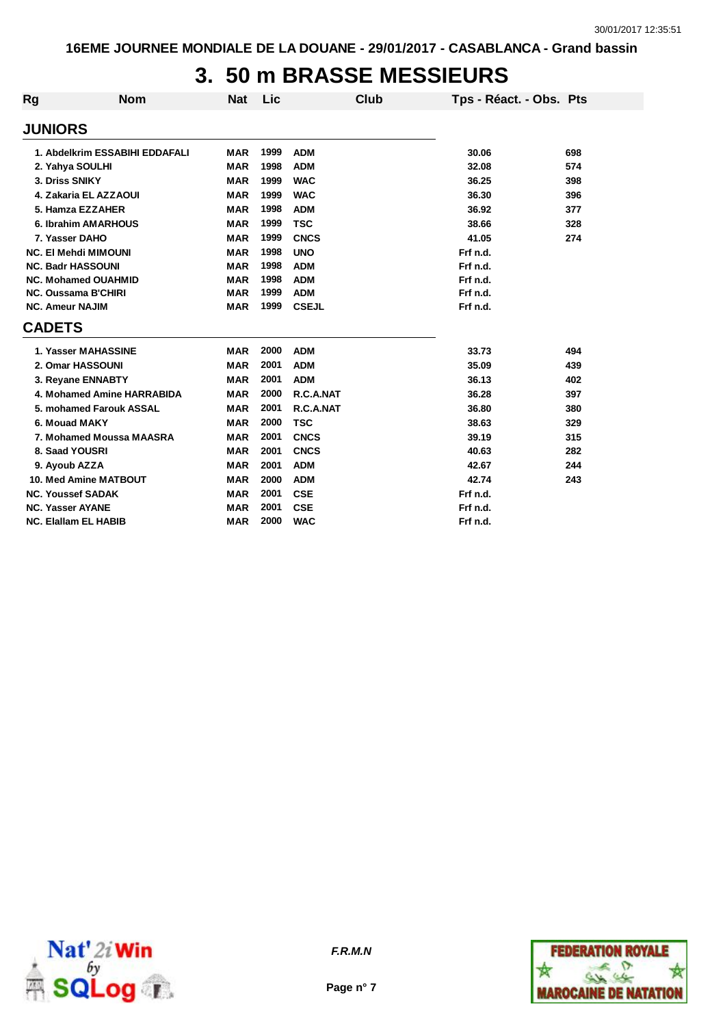# **3. 50 m BRASSE MESSIEURS**

| Rg                       | <b>Nom</b>                     | <b>Nat</b> | Lic  | Club         | Tps - Réact. - Obs. Pts |     |
|--------------------------|--------------------------------|------------|------|--------------|-------------------------|-----|
| <b>JUNIORS</b>           |                                |            |      |              |                         |     |
|                          | 1. Abdelkrim ESSABIHI EDDAFALI | <b>MAR</b> | 1999 | <b>ADM</b>   | 30.06                   | 698 |
| 2. Yahya SOULHI          |                                | <b>MAR</b> | 1998 | <b>ADM</b>   | 32.08                   | 574 |
| 3. Driss SNIKY           |                                | <b>MAR</b> | 1999 | <b>WAC</b>   | 36.25                   | 398 |
|                          | 4. Zakaria EL AZZAOUI          | <b>MAR</b> | 1999 | <b>WAC</b>   | 36.30                   | 396 |
|                          | 5. Hamza EZZAHER               | <b>MAR</b> | 1998 | <b>ADM</b>   | 36.92                   | 377 |
|                          | 6. Ibrahim AMARHOUS            | <b>MAR</b> | 1999 | <b>TSC</b>   | 38.66                   | 328 |
| 7. Yasser DAHO           |                                | <b>MAR</b> | 1999 | <b>CNCS</b>  | 41.05                   | 274 |
|                          | <b>NC. El Mehdi MIMOUNI</b>    | <b>MAR</b> | 1998 | <b>UNO</b>   | Frf n.d.                |     |
| <b>NC. Badr HASSOUNI</b> |                                | <b>MAR</b> | 1998 | <b>ADM</b>   | Frf n.d.                |     |
|                          | <b>NC. Mohamed OUAHMID</b>     | <b>MAR</b> | 1998 | <b>ADM</b>   | Frf n.d.                |     |
|                          | <b>NC. Oussama B'CHIRI</b>     | <b>MAR</b> | 1999 | <b>ADM</b>   | Frf n.d.                |     |
| <b>NC. Ameur NAJIM</b>   |                                | <b>MAR</b> | 1999 | <b>CSEJL</b> | Frf n.d.                |     |
| <b>CADETS</b>            |                                |            |      |              |                         |     |
|                          | 1. Yasser MAHASSINE            | <b>MAR</b> | 2000 | <b>ADM</b>   | 33.73                   | 494 |
|                          | 2. Omar HASSOUNI               | <b>MAR</b> | 2001 | <b>ADM</b>   | 35.09                   | 439 |
|                          | 3. Reyane ENNABTY              | <b>MAR</b> | 2001 | <b>ADM</b>   | 36.13                   | 402 |
|                          | 4. Mohamed Amine HARRABIDA     | <b>MAR</b> | 2000 | R.C.A.NAT    | 36.28                   | 397 |
|                          | 5. mohamed Farouk ASSAL        | <b>MAR</b> | 2001 | R.C.A.NAT    | 36.80                   | 380 |
| 6. Mouad MAKY            |                                | <b>MAR</b> | 2000 | <b>TSC</b>   | 38.63                   | 329 |
|                          | 7. Mohamed Moussa MAASRA       | <b>MAR</b> | 2001 | <b>CNCS</b>  | 39.19                   | 315 |
| 8. Saad YOUSRI           |                                | <b>MAR</b> | 2001 | <b>CNCS</b>  | 40.63                   | 282 |
| 9. Ayoub AZZA            |                                | <b>MAR</b> | 2001 | <b>ADM</b>   | 42.67                   | 244 |
|                          | 10. Med Amine MATBOUT          | <b>MAR</b> | 2000 | <b>ADM</b>   | 42.74                   | 243 |
| <b>NC. Youssef SADAK</b> |                                | <b>MAR</b> | 2001 | <b>CSE</b>   | Frf n.d.                |     |
| <b>NC. Yasser AYANE</b>  |                                | <b>MAR</b> | 2001 | <b>CSE</b>   | Frf n.d.                |     |
|                          | <b>NC. Elallam EL HABIB</b>    | <b>MAR</b> | 2000 | <b>WAC</b>   | Frf n.d.                |     |



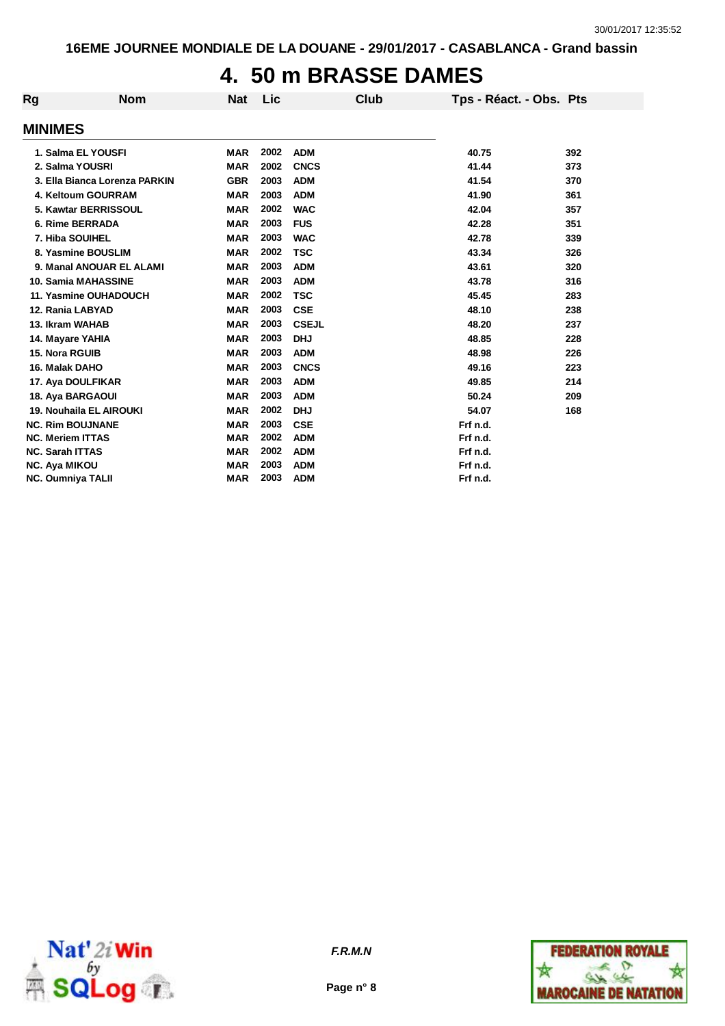## **4. 50 m BRASSE DAMES**

| Rg | <b>Nom</b>                    | <b>Nat</b> | Lic  | Club         | Tps - Réact. - Obs. Pts |     |
|----|-------------------------------|------------|------|--------------|-------------------------|-----|
|    | <b>MINIMES</b>                |            |      |              |                         |     |
|    |                               |            |      |              |                         |     |
|    | 1. Salma EL YOUSFI            | <b>MAR</b> | 2002 | <b>ADM</b>   | 40.75                   | 392 |
|    | 2. Salma YOUSRI               | <b>MAR</b> | 2002 | <b>CNCS</b>  | 41.44                   | 373 |
|    | 3. Ella Bianca Lorenza PARKIN | <b>GBR</b> | 2003 | <b>ADM</b>   | 41.54                   | 370 |
|    | 4. Keltoum GOURRAM            | <b>MAR</b> | 2003 | <b>ADM</b>   | 41.90                   | 361 |
|    | 5. Kawtar BERRISSOUL          | <b>MAR</b> | 2002 | <b>WAC</b>   | 42.04                   | 357 |
|    | 6. Rime BERRADA               | <b>MAR</b> | 2003 | <b>FUS</b>   | 42.28                   | 351 |
|    | 7. Hiba SOUIHEL               | <b>MAR</b> | 2003 | <b>WAC</b>   | 42.78                   | 339 |
|    | 8. Yasmine BOUSLIM            | <b>MAR</b> | 2002 | <b>TSC</b>   | 43.34                   | 326 |
|    | 9. Manal ANOUAR EL ALAMI      | <b>MAR</b> | 2003 | <b>ADM</b>   | 43.61                   | 320 |
|    | 10. Samia MAHASSINE           | <b>MAR</b> | 2003 | <b>ADM</b>   | 43.78                   | 316 |
|    | 11. Yasmine OUHADOUCH         | <b>MAR</b> | 2002 | <b>TSC</b>   | 45.45                   | 283 |
|    | 12. Rania LABYAD              | <b>MAR</b> | 2003 | <b>CSE</b>   | 48.10                   | 238 |
|    | 13. Ikram WAHAB               | <b>MAR</b> | 2003 | <b>CSEJL</b> | 48.20                   | 237 |
|    | 14. Mayare YAHIA              | <b>MAR</b> | 2003 | <b>DHJ</b>   | 48.85                   | 228 |
|    | <b>15. Nora RGUIB</b>         | <b>MAR</b> | 2003 | <b>ADM</b>   | 48.98                   | 226 |
|    | 16. Malak DAHO                | <b>MAR</b> | 2003 | <b>CNCS</b>  | 49.16                   | 223 |
|    | 17. Aya DOULFIKAR             | <b>MAR</b> | 2003 | <b>ADM</b>   | 49.85                   | 214 |
|    | 18. Aya BARGAOUI              | <b>MAR</b> | 2003 | <b>ADM</b>   | 50.24                   | 209 |
|    | 19. Nouhaila EL AIROUKI       | <b>MAR</b> | 2002 | <b>DHJ</b>   | 54.07                   | 168 |
|    | <b>NC. Rim BOUJNANE</b>       | <b>MAR</b> | 2003 | <b>CSE</b>   | Frf n.d.                |     |
|    | <b>NC. Meriem ITTAS</b>       | <b>MAR</b> | 2002 | <b>ADM</b>   | Frf n.d.                |     |
|    | <b>NC. Sarah ITTAS</b>        | <b>MAR</b> | 2002 | <b>ADM</b>   | Frf n.d.                |     |
|    | <b>NC. Aya MIKOU</b>          | <b>MAR</b> | 2003 | <b>ADM</b>   | Frf n.d.                |     |
|    | <b>NC. Oumniya TALII</b>      | <b>MAR</b> | 2003 | <b>ADM</b>   | Frf n.d.                |     |